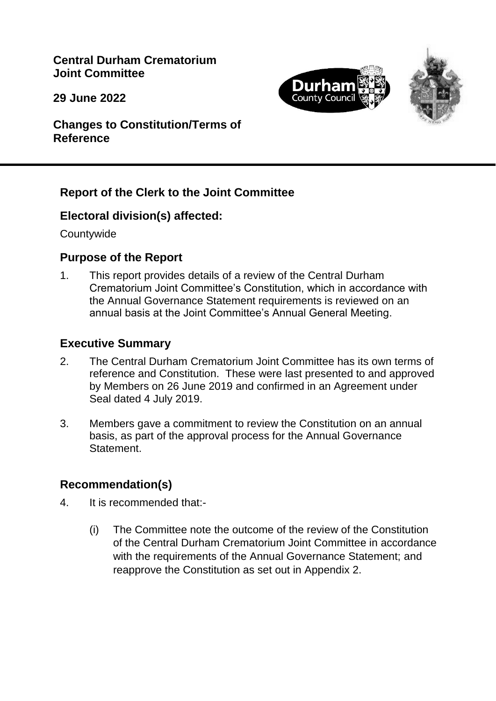**Central Durham Crematorium Joint Committee**

**29 June 2022**





**Changes to Constitution/Terms of Reference**

#### **Report of the Clerk to the Joint Committee**

#### **Electoral division(s) affected:**

**Countywide** 

#### **Purpose of the Report**

1. This report provides details of a review of the Central Durham Crematorium Joint Committee's Constitution, which in accordance with the Annual Governance Statement requirements is reviewed on an annual basis at the Joint Committee's Annual General Meeting.

#### **Executive Summary**

- 2. The Central Durham Crematorium Joint Committee has its own terms of reference and Constitution. These were last presented to and approved by Members on 26 June 2019 and confirmed in an Agreement under Seal dated 4 July 2019.
- 3. Members gave a commitment to review the Constitution on an annual basis, as part of the approval process for the Annual Governance **Statement**

## **Recommendation(s)**

- 4. It is recommended that:-
	- (i) The Committee note the outcome of the review of the Constitution of the Central Durham Crematorium Joint Committee in accordance with the requirements of the Annual Governance Statement; and reapprove the Constitution as set out in Appendix 2.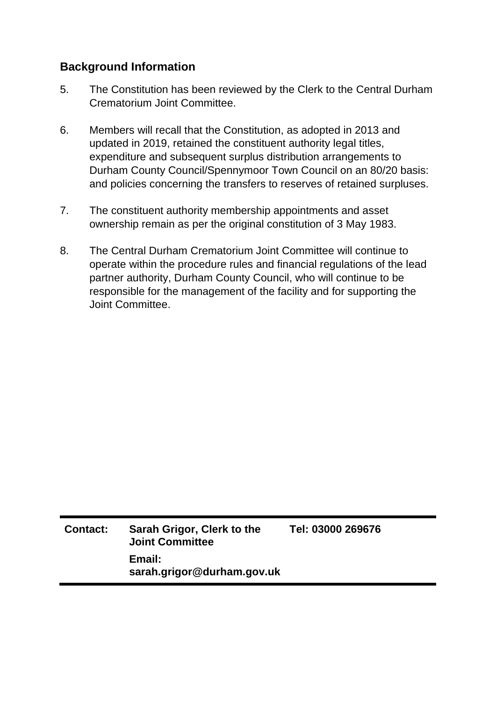#### **Background Information**

- 5. The Constitution has been reviewed by the Clerk to the Central Durham Crematorium Joint Committee.
- 6. Members will recall that the Constitution, as adopted in 2013 and updated in 2019, retained the constituent authority legal titles, expenditure and subsequent surplus distribution arrangements to Durham County Council/Spennymoor Town Council on an 80/20 basis: and policies concerning the transfers to reserves of retained surpluses.
- 7. The constituent authority membership appointments and asset ownership remain as per the original constitution of 3 May 1983.
- 8. The Central Durham Crematorium Joint Committee will continue to operate within the procedure rules and financial regulations of the lead partner authority, Durham County Council, who will continue to be responsible for the management of the facility and for supporting the Joint Committee.

| <b>Contact:</b> | Sarah Grigor, Clerk to the<br><b>Joint Committee</b> | Tel: 03000 269676 |
|-----------------|------------------------------------------------------|-------------------|
|                 | Email:<br>sarah.grigor@durham.gov.uk                 |                   |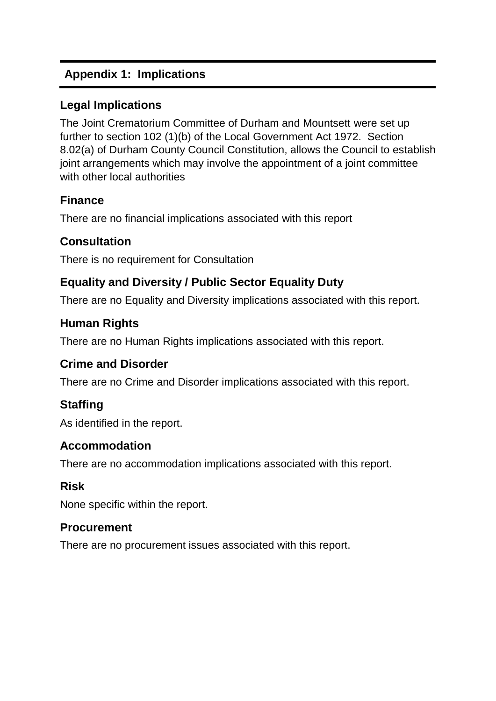# **Appendix 1: Implications**

## **Legal Implications**

The Joint Crematorium Committee of Durham and Mountsett were set up further to section 102 (1)(b) of the Local Government Act 1972. Section 8.02(a) of Durham County Council Constitution, allows the Council to establish joint arrangements which may involve the appointment of a joint committee with other local authorities

## **Finance**

There are no financial implications associated with this report

## **Consultation**

There is no requirement for Consultation

# **Equality and Diversity / Public Sector Equality Duty**

There are no Equality and Diversity implications associated with this report.

## **Human Rights**

There are no Human Rights implications associated with this report.

## **Crime and Disorder**

There are no Crime and Disorder implications associated with this report.

# **Staffing**

As identified in the report.

## **Accommodation**

There are no accommodation implications associated with this report.

## **Risk**

None specific within the report.

## **Procurement**

There are no procurement issues associated with this report.